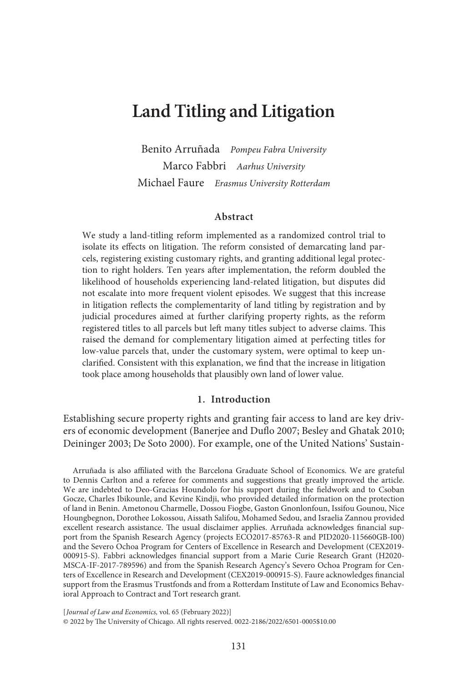# **Land Titling and Litigation**

Benito Arruñada *Pompeu Fabra University* Marco Fabbri *Aarhus University* Michael Faure *Erasmus University Rotterdam*

### **Abstract**

We study a land-titling reform implemented as a randomized control trial to isolate its effects on litigation. The reform consisted of demarcating land parcels, registering existing customary rights, and granting additional legal protection to right holders. Ten years after implementation, the reform doubled the likelihood of households experiencing land-related litigation, but disputes did not escalate into more frequent violent episodes. We suggest that this increase in litigation reflects the complementarity of land titling by registration and by judicial procedures aimed at further clarifying property rights, as the reform registered titles to all parcels but left many titles subject to adverse claims. This raised the demand for complementary litigation aimed at perfecting titles for low-value parcels that, under the customary system, were optimal to keep unclarified. Consistent with this explanation, we find that the increase in litigation took place among households that plausibly own land of lower value.

# **1. Introduction**

Establishing secure property rights and granting fair access to land are key drivers of economic development (Banerjee and Duflo 2007; Besley and Ghatak 2010; Deininger 2003; De Soto 2000). For example, one of the United Nations' Sustain-

Arruñada is also affiliated with the Barcelona Graduate School of Economics. We are grateful to Dennis Carlton and a referee for comments and suggestions that greatly improved the article. We are indebted to Deo-Gracias Houndolo for his support during the fieldwork and to Csoban Gocze, Charles Ibikounle, and Kevine Kindji, who provided detailed information on the protection of land in Benin. Ametonou Charmelle, Dossou Fiogbe, Gaston Gnonlonfoun, Issifou Gounou, Nice Houngbegnon, Dorothee Lokossou, Aissath Salifou, Mohamed Sedou, and Israelia Zannou provided excellent research assistance. The usual disclaimer applies. Arruñada acknowledges financial support from the Spanish Research Agency (projects ECO2017-85763-R and PID2020-115660GB-I00) and the Severo Ochoa Program for Centers of Excellence in Research and Development (CEX2019- 000915-S). Fabbri acknowledges financial support from a Marie Curie Research Grant (H2020- MSCA-IF-2017-789596) and from the Spanish Research Agency's Severo Ochoa Program for Centers of Excellence in Research and Development (CEX2019-000915-S). Faure acknowledges financial support from the Erasmus Trustfonds and from a Rotterdam Institute of Law and Economics Behavioral Approach to Contract and Tort research grant.

[ *Journal of Law and Economics,* vol. 65 (February 2022)] © 2022 by The University of Chicago. All rights reserved. 0022-2186/2022/6501-0005\$10.00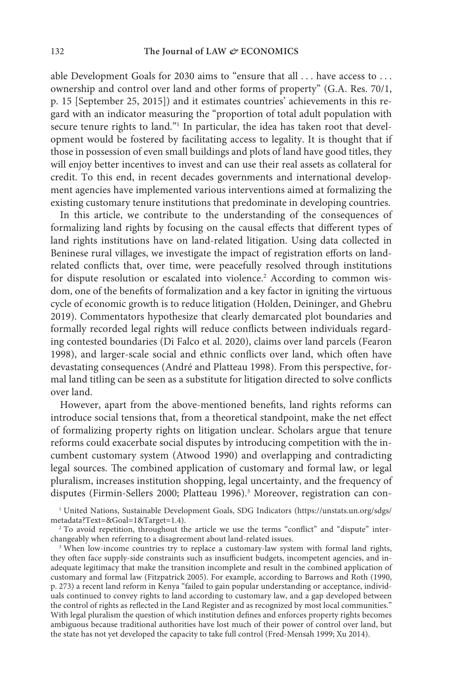able Development Goals for 2030 aims to "ensure that all . . . have access to . . . ownership and control over land and other forms of property" (G.A. Res. 70/1, p. 15 [September 25, 2015]) and it estimates countries' achievements in this regard with an indicator measuring the "proportion of total adult population with secure tenure rights to land."<sup>1</sup> In particular, the idea has taken root that development would be fostered by facilitating access to legality. It is thought that if those in possession of even small buildings and plots of land have good titles, they will enjoy better incentives to invest and can use their real assets as collateral for credit. To this end, in recent decades governments and international development agencies have implemented various interventions aimed at formalizing the existing customary tenure institutions that predominate in developing countries.

In this article, we contribute to the understanding of the consequences of formalizing land rights by focusing on the causal effects that different types of land rights institutions have on land-related litigation. Using data collected in Beninese rural villages, we investigate the impact of registration efforts on landrelated conflicts that, over time, were peacefully resolved through institutions for dispute resolution or escalated into violence.<sup>2</sup> According to common wisdom, one of the benefits of formalization and a key factor in igniting the virtuous cycle of economic growth is to reduce litigation (Holden, Deininger, and Ghebru 2019). Commentators hypothesize that clearly demarcated plot boundaries and formally recorded legal rights will reduce conflicts between individuals regarding contested boundaries (Di Falco et al. 2020), claims over land parcels (Fearon 1998), and larger-scale social and ethnic conflicts over land, which often have devastating consequences (André and Platteau 1998). From this perspective, formal land titling can be seen as a substitute for litigation directed to solve conflicts over land.

However, apart from the above-mentioned benefits, land rights reforms can introduce social tensions that, from a theoretical standpoint, make the net effect of formalizing property rights on litigation unclear. Scholars argue that tenure reforms could exacerbate social disputes by introducing competition with the incumbent customary system (Atwood 1990) and overlapping and contradicting legal sources. The combined application of customary and formal law, or legal pluralism, increases institution shopping, legal uncertainty, and the frequency of disputes (Firmin-Sellers 2000; Platteau 1996).<sup>3</sup> Moreover, registration can con-

<sup>1</sup> United Nations, Sustainable Development Goals, SDG Indicators (https://unstats.un.org/sdgs/ metadata?Text=&Goal=1&Target=1.4).

<sup>2</sup> To avoid repetition, throughout the article we use the terms "conflict" and "dispute" interchangeably when referring to a disagreement about land-related issues.

<sup>3</sup> When low-income countries try to replace a customary-law system with formal land rights, they often face supply-side constraints such as insufficient budgets, incompetent agencies, and inadequate legitimacy that make the transition incomplete and result in the combined application of customary and formal law (Fitzpatrick 2005). For example, according to Barrows and Roth (1990, p. 273) a recent land reform in Kenya "failed to gain popular understanding or acceptance, individuals continued to convey rights to land according to customary law, and a gap developed between the control of rights as reflected in the Land Register and as recognized by most local communities." With legal pluralism the question of which institution defines and enforces property rights becomes ambiguous because traditional authorities have lost much of their power of control over land, but the state has not yet developed the capacity to take full control (Fred-Mensah 1999; Xu 2014).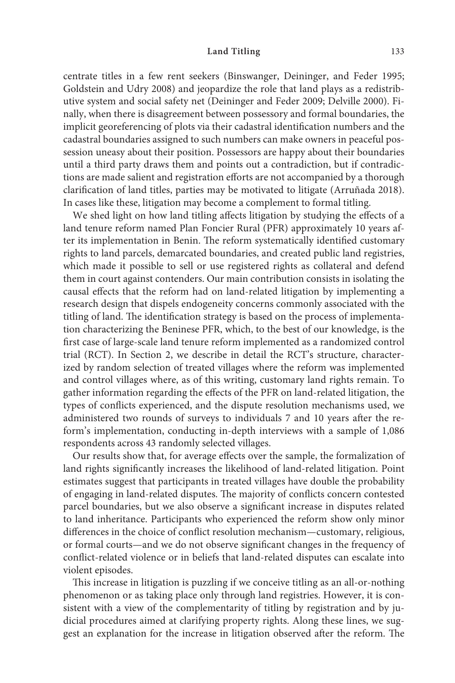centrate titles in a few rent seekers (Binswanger, Deininger, and Feder 1995; Goldstein and Udry 2008) and jeopardize the role that land plays as a redistributive system and social safety net (Deininger and Feder 2009; Delville 2000). Finally, when there is disagreement between possessory and formal boundaries, the implicit georeferencing of plots via their cadastral identification numbers and the cadastral boundaries assigned to such numbers can make owners in peaceful possession uneasy about their position. Possessors are happy about their boundaries until a third party draws them and points out a contradiction, but if contradictions are made salient and registration efforts are not accompanied by a thorough clarification of land titles, parties may be motivated to litigate (Arruñada 2018). In cases like these, litigation may become a complement to formal titling.

We shed light on how land titling affects litigation by studying the effects of a land tenure reform named Plan Foncier Rural (PFR) approximately 10 years after its implementation in Benin. The reform systematically identified customary rights to land parcels, demarcated boundaries, and created public land registries, which made it possible to sell or use registered rights as collateral and defend them in court against contenders. Our main contribution consists in isolating the causal effects that the reform had on land-related litigation by implementing a research design that dispels endogeneity concerns commonly associated with the titling of land. The identification strategy is based on the process of implementation characterizing the Beninese PFR, which, to the best of our knowledge, is the first case of large-scale land tenure reform implemented as a randomized control trial (RCT). In Section 2, we describe in detail the RCT's structure, characterized by random selection of treated villages where the reform was implemented and control villages where, as of this writing, customary land rights remain. To gather information regarding the effects of the PFR on land-related litigation, the types of conflicts experienced, and the dispute resolution mechanisms used, we administered two rounds of surveys to individuals 7 and 10 years after the reform's implementation, conducting in-depth interviews with a sample of 1,086 respondents across 43 randomly selected villages.

Our results show that, for average effects over the sample, the formalization of land rights significantly increases the likelihood of land-related litigation. Point estimates suggest that participants in treated villages have double the probability of engaging in land-related disputes. The majority of conflicts concern contested parcel boundaries, but we also observe a significant increase in disputes related to land inheritance. Participants who experienced the reform show only minor differences in the choice of conflict resolution mechanism—customary, religious, or formal courts—and we do not observe significant changes in the frequency of conflict-related violence or in beliefs that land-related disputes can escalate into violent episodes.

This increase in litigation is puzzling if we conceive titling as an all-or-nothing phenomenon or as taking place only through land registries. However, it is consistent with a view of the complementarity of titling by registration and by judicial procedures aimed at clarifying property rights. Along these lines, we suggest an explanation for the increase in litigation observed after the reform. The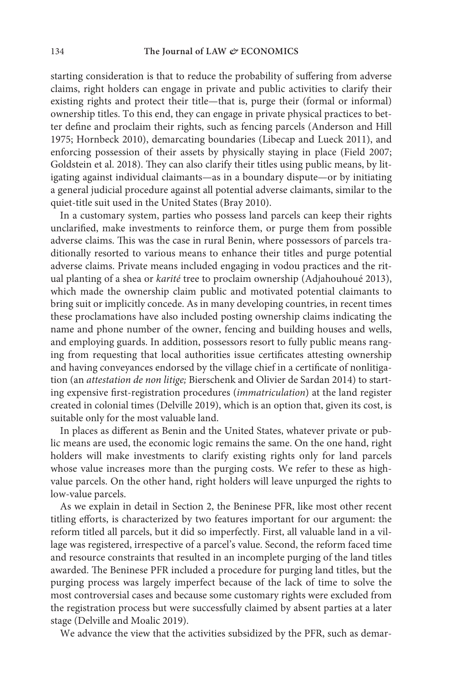starting consideration is that to reduce the probability of suffering from adverse claims, right holders can engage in private and public activities to clarify their existing rights and protect their title—that is, purge their (formal or informal) ownership titles. To this end, they can engage in private physical practices to better define and proclaim their rights, such as fencing parcels (Anderson and Hill 1975; Hornbeck 2010), demarcating boundaries (Libecap and Lueck 2011), and enforcing possession of their assets by physically staying in place (Field 2007; Goldstein et al. 2018). They can also clarify their titles using public means, by litigating against individual claimants—as in a boundary dispute—or by initiating a general judicial procedure against all potential adverse claimants, similar to the quiet-title suit used in the United States (Bray 2010).

In a customary system, parties who possess land parcels can keep their rights unclarified, make investments to reinforce them, or purge them from possible adverse claims. This was the case in rural Benin, where possessors of parcels traditionally resorted to various means to enhance their titles and purge potential adverse claims. Private means included engaging in vodou practices and the ritual planting of a shea or *karité* tree to proclaim ownership (Adjahouhoué 2013), which made the ownership claim public and motivated potential claimants to bring suit or implicitly concede. As in many developing countries, in recent times these proclamations have also included posting ownership claims indicating the name and phone number of the owner, fencing and building houses and wells, and employing guards. In addition, possessors resort to fully public means ranging from requesting that local authorities issue certificates attesting ownership and having conveyances endorsed by the village chief in a certificate of nonlitigation (an *attestation de non litige;* Bierschenk and Olivier de Sardan 2014) to starting expensive first-registration procedures (*immatriculation*) at the land register created in colonial times (Delville 2019), which is an option that, given its cost, is suitable only for the most valuable land.

In places as different as Benin and the United States, whatever private or public means are used, the economic logic remains the same. On the one hand, right holders will make investments to clarify existing rights only for land parcels whose value increases more than the purging costs. We refer to these as highvalue parcels. On the other hand, right holders will leave unpurged the rights to low-value parcels.

As we explain in detail in Section 2, the Beninese PFR, like most other recent titling efforts, is characterized by two features important for our argument: the reform titled all parcels, but it did so imperfectly. First, all valuable land in a village was registered, irrespective of a parcel's value. Second, the reform faced time and resource constraints that resulted in an incomplete purging of the land titles awarded. The Beninese PFR included a procedure for purging land titles, but the purging process was largely imperfect because of the lack of time to solve the most controversial cases and because some customary rights were excluded from the registration process but were successfully claimed by absent parties at a later stage (Delville and Moalic 2019).

We advance the view that the activities subsidized by the PFR, such as demar-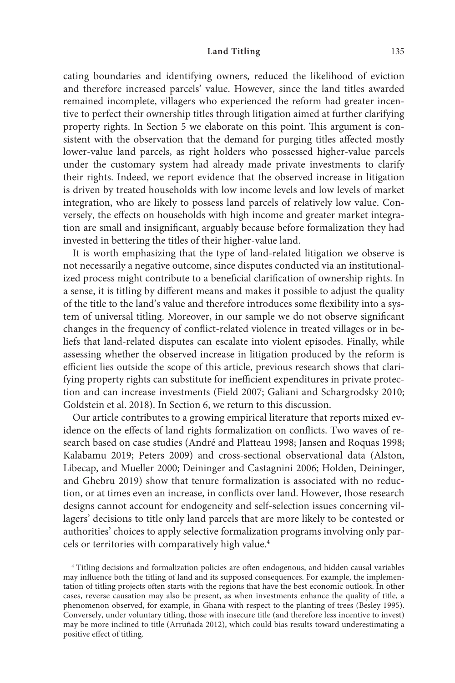cating boundaries and identifying owners, reduced the likelihood of eviction and therefore increased parcels' value. However, since the land titles awarded remained incomplete, villagers who experienced the reform had greater incentive to perfect their ownership titles through litigation aimed at further clarifying property rights. In Section 5 we elaborate on this point. This argument is consistent with the observation that the demand for purging titles affected mostly lower-value land parcels, as right holders who possessed higher-value parcels under the customary system had already made private investments to clarify their rights. Indeed, we report evidence that the observed increase in litigation is driven by treated households with low income levels and low levels of market integration, who are likely to possess land parcels of relatively low value. Conversely, the effects on households with high income and greater market integration are small and insignificant, arguably because before formalization they had invested in bettering the titles of their higher-value land.

It is worth emphasizing that the type of land-related litigation we observe is not necessarily a negative outcome, since disputes conducted via an institutionalized process might contribute to a beneficial clarification of ownership rights. In a sense, it is titling by different means and makes it possible to adjust the quality of the title to the land's value and therefore introduces some flexibility into a system of universal titling. Moreover, in our sample we do not observe significant changes in the frequency of conflict-related violence in treated villages or in beliefs that land-related disputes can escalate into violent episodes. Finally, while assessing whether the observed increase in litigation produced by the reform is efficient lies outside the scope of this article, previous research shows that clarifying property rights can substitute for inefficient expenditures in private protection and can increase investments (Field 2007; Galiani and Schargrodsky 2010; Goldstein et al. 2018). In Section 6, we return to this discussion.

Our article contributes to a growing empirical literature that reports mixed evidence on the effects of land rights formalization on conflicts. Two waves of research based on case studies (André and Platteau 1998; Jansen and Roquas 1998; Kalabamu 2019; Peters 2009) and cross-sectional observational data (Alston, Libecap, and Mueller 2000; Deininger and Castagnini 2006; Holden, Deininger, and Ghebru 2019) show that tenure formalization is associated with no reduction, or at times even an increase, in conflicts over land. However, those research designs cannot account for endogeneity and self-selection issues concerning villagers' decisions to title only land parcels that are more likely to be contested or authorities' choices to apply selective formalization programs involving only parcels or territories with comparatively high value.<sup>4</sup>

<sup>4</sup> Titling decisions and formalization policies are often endogenous, and hidden causal variables may influence both the titling of land and its supposed consequences. For example, the implementation of titling projects often starts with the regions that have the best economic outlook. In other cases, reverse causation may also be present, as when investments enhance the quality of title, a phenomenon observed, for example, in Ghana with respect to the planting of trees (Besley 1995). Conversely, under voluntary titling, those with insecure title (and therefore less incentive to invest) may be more inclined to title (Arruñada 2012), which could bias results toward underestimating a positive effect of titling.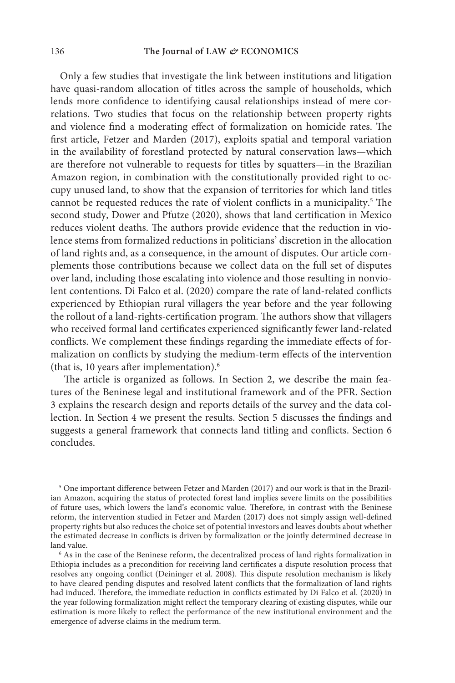# 136 **The Journal of LAW**  $\mathcal{O}$  **<b>ECONOMICS**

Only a few studies that investigate the link between institutions and litigation have quasi-random allocation of titles across the sample of households, which lends more confidence to identifying causal relationships instead of mere correlations. Two studies that focus on the relationship between property rights and violence find a moderating effect of formalization on homicide rates. The first article, Fetzer and Marden (2017), exploits spatial and temporal variation in the availability of forestland protected by natural conservation laws—which are therefore not vulnerable to requests for titles by squatters—in the Brazilian Amazon region, in combination with the constitutionally provided right to occupy unused land, to show that the expansion of territories for which land titles cannot be requested reduces the rate of violent conflicts in a municipality.<sup>5</sup> The second study, Dower and Pfutze (2020), shows that land certification in Mexico reduces violent deaths. The authors provide evidence that the reduction in violence stems from formalized reductions in politicians' discretion in the allocation of land rights and, as a consequence, in the amount of disputes. Our article complements those contributions because we collect data on the full set of disputes over land, including those escalating into violence and those resulting in nonviolent contentions. Di Falco et al. (2020) compare the rate of land-related conflicts experienced by Ethiopian rural villagers the year before and the year following the rollout of a land-rights-certification program. The authors show that villagers who received formal land certificates experienced significantly fewer land-related conflicts. We complement these findings regarding the immediate effects of formalization on conflicts by studying the medium-term effects of the intervention (that is, 10 years after implementation).6

 The article is organized as follows. In Section 2, we describe the main features of the Beninese legal and institutional framework and of the PFR. Section 3 explains the research design and reports details of the survey and the data collection. In Section 4 we present the results. Section 5 discusses the findings and suggests a general framework that connects land titling and conflicts. Section 6 concludes.

<sup>5</sup> One important difference between Fetzer and Marden (2017) and our work is that in the Brazilian Amazon, acquiring the status of protected forest land implies severe limits on the possibilities of future uses, which lowers the land's economic value. Therefore, in contrast with the Beninese reform, the intervention studied in Fetzer and Marden (2017) does not simply assign well-defined property rights but also reduces the choice set of potential investors and leaves doubts about whether the estimated decrease in conflicts is driven by formalization or the jointly determined decrease in land value.

<sup>6</sup> As in the case of the Beninese reform, the decentralized process of land rights formalization in Ethiopia includes as a precondition for receiving land certificates a dispute resolution process that resolves any ongoing conflict (Deininger et al. 2008). This dispute resolution mechanism is likely to have cleared pending disputes and resolved latent conflicts that the formalization of land rights had induced. Therefore, the immediate reduction in conflicts estimated by Di Falco et al. (2020) in the year following formalization might reflect the temporary clearing of existing disputes, while our estimation is more likely to reflect the performance of the new institutional environment and the emergence of adverse claims in the medium term.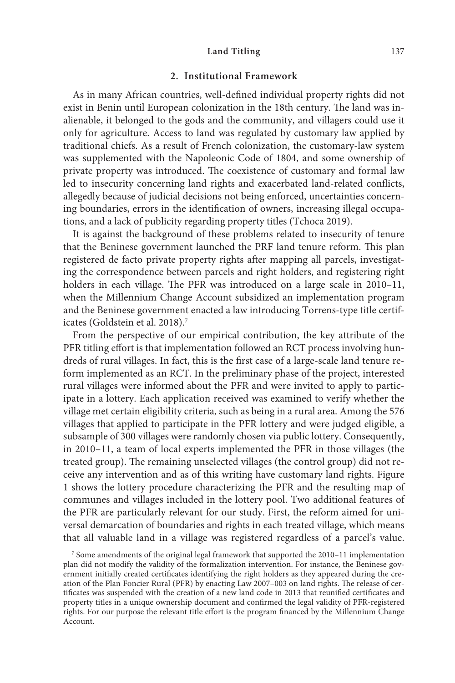## **2. Institutional Framework**

As in many African countries, well-defined individual property rights did not exist in Benin until European colonization in the 18th century. The land was inalienable, it belonged to the gods and the community, and villagers could use it only for agriculture. Access to land was regulated by customary law applied by traditional chiefs. As a result of French colonization, the customary-law system was supplemented with the Napoleonic Code of 1804, and some ownership of private property was introduced. The coexistence of customary and formal law led to insecurity concerning land rights and exacerbated land-related conflicts, allegedly because of judicial decisions not being enforced, uncertainties concerning boundaries, errors in the identification of owners, increasing illegal occupations, and a lack of publicity regarding property titles (Tchoca 2019).

It is against the background of these problems related to insecurity of tenure that the Beninese government launched the PRF land tenure reform. This plan registered de facto private property rights after mapping all parcels, investigating the correspondence between parcels and right holders, and registering right holders in each village. The PFR was introduced on a large scale in 2010–11, when the Millennium Change Account subsidized an implementation program and the Beninese government enacted a law introducing Torrens-type title certificates (Goldstein et al. 2018).<sup>7</sup>

From the perspective of our empirical contribution, the key attribute of the PFR titling effort is that implementation followed an RCT process involving hundreds of rural villages. In fact, this is the first case of a large-scale land tenure reform implemented as an RCT. In the preliminary phase of the project, interested rural villages were informed about the PFR and were invited to apply to participate in a lottery. Each application received was examined to verify whether the village met certain eligibility criteria, such as being in a rural area. Among the 576 villages that applied to participate in the PFR lottery and were judged eligible, a subsample of 300 villages were randomly chosen via public lottery. Consequently, in 2010–11, a team of local experts implemented the PFR in those villages (the treated group). The remaining unselected villages (the control group) did not receive any intervention and as of this writing have customary land rights. Figure 1 shows the lottery procedure characterizing the PFR and the resulting map of communes and villages included in the lottery pool. Two additional features of the PFR are particularly relevant for our study. First, the reform aimed for universal demarcation of boundaries and rights in each treated village, which means that all valuable land in a village was registered regardless of a parcel's value.

<sup>7</sup> Some amendments of the original legal framework that supported the 2010–11 implementation plan did not modify the validity of the formalization intervention. For instance, the Beninese government initially created certificates identifying the right holders as they appeared during the creation of the Plan Foncier Rural (PFR) by enacting Law 2007–003 on land rights. The release of certificates was suspended with the creation of a new land code in 2013 that reunified certificates and property titles in a unique ownership document and confirmed the legal validity of PFR-registered rights. For our purpose the relevant title effort is the program financed by the Millennium Change Account.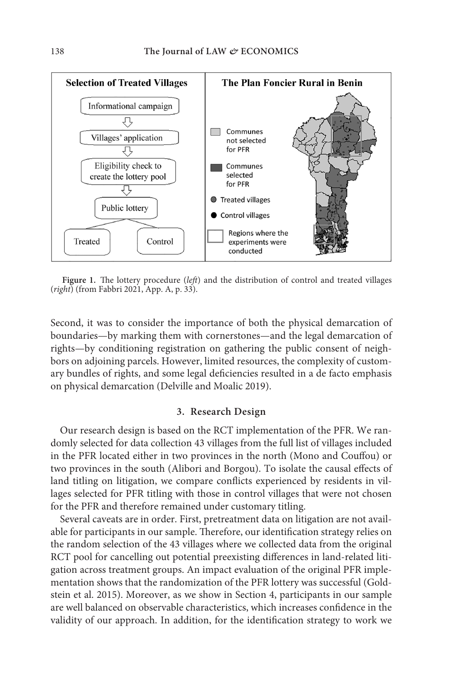

**Figure 1.** The lottery procedure (*left*) and the distribution of control and treated villages (*right*) (from Fabbri 2021, App. A, p. 33).

Second, it was to consider the importance of both the physical demarcation of boundaries—by marking them with cornerstones—and the legal demarcation of rights—by conditioning registration on gathering the public consent of neighbors on adjoining parcels. However, limited resources, the complexity of customary bundles of rights, and some legal deficiencies resulted in a de facto emphasis on physical demarcation (Delville and Moalic 2019).

#### **3. Research Design**

Our research design is based on the RCT implementation of the PFR. We randomly selected for data collection 43 villages from the full list of villages included in the PFR located either in two provinces in the north (Mono and Couffou) or two provinces in the south (Alibori and Borgou). To isolate the causal effects of land titling on litigation, we compare conflicts experienced by residents in villages selected for PFR titling with those in control villages that were not chosen for the PFR and therefore remained under customary titling.

Several caveats are in order. First, pretreatment data on litigation are not available for participants in our sample. Therefore, our identification strategy relies on the random selection of the 43 villages where we collected data from the original RCT pool for cancelling out potential preexisting differences in land-related litigation across treatment groups. An impact evaluation of the original PFR implementation shows that the randomization of the PFR lottery was successful (Goldstein et al. 2015). Moreover, as we show in Section 4, participants in our sample are well balanced on observable characteristics, which increases confidence in the validity of our approach. In addition, for the identification strategy to work we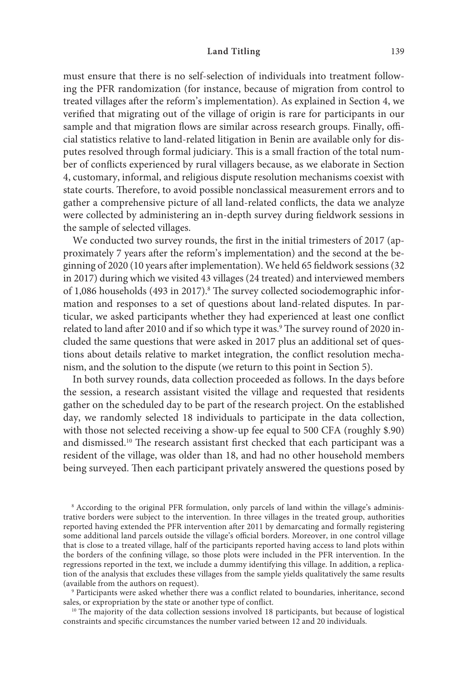must ensure that there is no self-selection of individuals into treatment following the PFR randomization (for instance, because of migration from control to treated villages after the reform's implementation). As explained in Section 4, we verified that migrating out of the village of origin is rare for participants in our sample and that migration flows are similar across research groups. Finally, official statistics relative to land-related litigation in Benin are available only for disputes resolved through formal judiciary. This is a small fraction of the total number of conflicts experienced by rural villagers because, as we elaborate in Section 4, customary, informal, and religious dispute resolution mechanisms coexist with state courts. Therefore, to avoid possible nonclassical measurement errors and to gather a comprehensive picture of all land-related conflicts, the data we analyze were collected by administering an in-depth survey during fieldwork sessions in the sample of selected villages.

We conducted two survey rounds, the first in the initial trimesters of 2017 (approximately 7 years after the reform's implementation) and the second at the beginning of 2020 (10 years after implementation). We held 65 fieldwork sessions (32 in 2017) during which we visited 43 villages (24 treated) and interviewed members of 1,086 households (493 in 2017).<sup>8</sup> The survey collected sociodemographic information and responses to a set of questions about land-related disputes. In particular, we asked participants whether they had experienced at least one conflict related to land after 2010 and if so which type it was.<sup>9</sup> The survey round of 2020 included the same questions that were asked in 2017 plus an additional set of questions about details relative to market integration, the conflict resolution mechanism, and the solution to the dispute (we return to this point in Section 5).

In both survey rounds, data collection proceeded as follows. In the days before the session, a research assistant visited the village and requested that residents gather on the scheduled day to be part of the research project. On the established day, we randomly selected 18 individuals to participate in the data collection, with those not selected receiving a show-up fee equal to 500 CFA (roughly \$.90) and dismissed.10 The research assistant first checked that each participant was a resident of the village, was older than 18, and had no other household members being surveyed. Then each participant privately answered the questions posed by

<sup>8</sup> According to the original PFR formulation, only parcels of land within the village's administrative borders were subject to the intervention. In three villages in the treated group, authorities reported having extended the PFR intervention after 2011 by demarcating and formally registering some additional land parcels outside the village's official borders. Moreover, in one control village that is close to a treated village, half of the participants reported having access to land plots within the borders of the confining village, so those plots were included in the PFR intervention. In the regressions reported in the text, we include a dummy identifying this village. In addition, a replication of the analysis that excludes these villages from the sample yields qualitatively the same results (available from the authors on request).

<sup>9</sup> Participants were asked whether there was a conflict related to boundaries, inheritance, second sales, or expropriation by the state or another type of conflict.

<sup>10</sup> The majority of the data collection sessions involved 18 participants, but because of logistical constraints and specific circumstances the number varied between 12 and 20 individuals.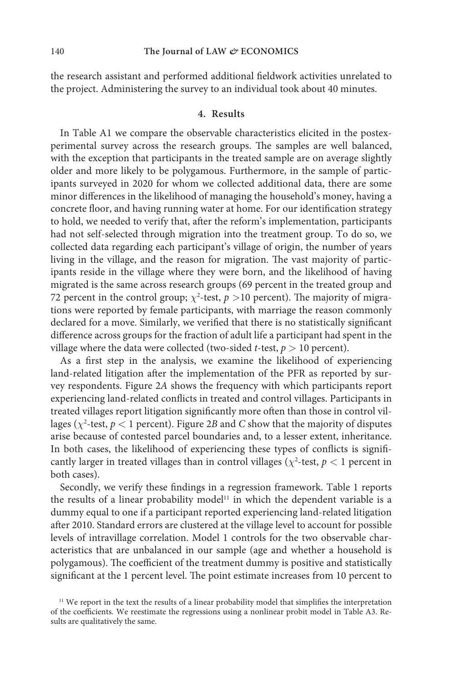the research assistant and performed additional fieldwork activities unrelated to the project. Administering the survey to an individual took about 40 minutes.

## **4. Results**

In Table A1 we compare the observable characteristics elicited in the postexperimental survey across the research groups. The samples are well balanced, with the exception that participants in the treated sample are on average slightly older and more likely to be polygamous. Furthermore, in the sample of participants surveyed in 2020 for whom we collected additional data, there are some minor differences in the likelihood of managing the household's money, having a concrete floor, and having running water at home. For our identification strategy to hold, we needed to verify that, after the reform's implementation, participants had not self-selected through migration into the treatment group. To do so, we collected data regarding each participant's village of origin, the number of years living in the village, and the reason for migration. The vast majority of participants reside in the village where they were born, and the likelihood of having migrated is the same across research groups (69 percent in the treated group and 72 percent in the control group;  $\chi^2$ -test,  $p > 10$  percent). The majority of migrations were reported by female participants, with marriage the reason commonly declared for a move. Similarly, we verified that there is no statistically significant difference across groups for the fraction of adult life a participant had spent in the village where the data were collected (two-sided *t*-test,  $p > 10$  percent).

As a first step in the analysis, we examine the likelihood of experiencing land-related litigation after the implementation of the PFR as reported by survey respondents. Figure 2*A* shows the frequency with which participants report experiencing land-related conflicts in treated and control villages. Participants in treated villages report litigation significantly more often than those in control villages ( $\chi^2$ -test,  $p < 1$  percent). Figure 2*B* and *C* show that the majority of disputes arise because of contested parcel boundaries and, to a lesser extent, inheritance. In both cases, the likelihood of experiencing these types of conflicts is significantly larger in treated villages than in control villages ( $\chi^2$ -test,  $p < 1$  percent in both cases).

Secondly, we verify these findings in a regression framework. Table 1 reports the results of a linear probability model<sup>11</sup> in which the dependent variable is a dummy equal to one if a participant reported experiencing land-related litigation after 2010. Standard errors are clustered at the village level to account for possible levels of intravillage correlation. Model 1 controls for the two observable characteristics that are unbalanced in our sample (age and whether a household is polygamous). The coefficient of the treatment dummy is positive and statistically significant at the 1 percent level. The point estimate increases from 10 percent to

<sup>&</sup>lt;sup>11</sup> We report in the text the results of a linear probability model that simplifies the interpretation of the coefficients. We reestimate the regressions using a nonlinear probit model in Table A3. Results are qualitatively the same.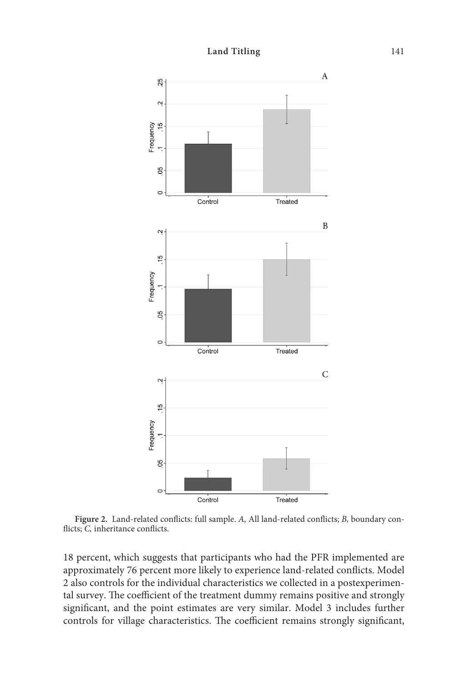

**Figure 2.** Land-related conflicts: full sample. *A,* All land-related conflicts; *B,* boundary conflicts; *C,* inheritance conflicts.

18 percent, which suggests that participants who had the PFR implemented are approximately 76 percent more likely to experience land-related conflicts. Model 2 also controls for the individual characteristics we collected in a postexperimental survey. The coefficient of the treatment dummy remains positive and strongly significant, and the point estimates are very similar. Model 3 includes further controls for village characteristics. The coefficient remains strongly significant,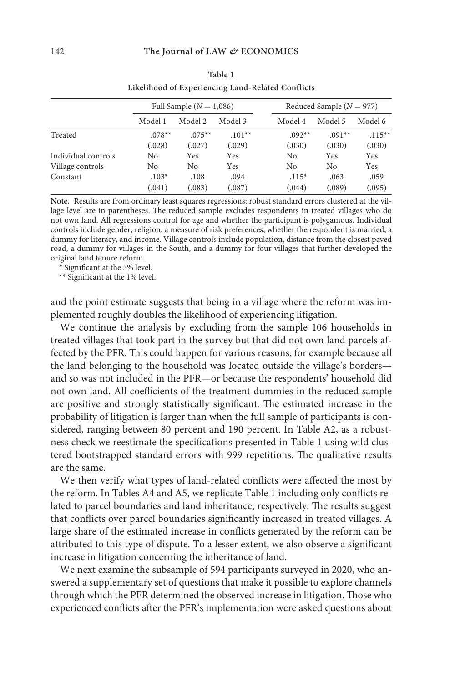|                     | Full Sample $(N = 1,086)$ |           |          |          | Reduced Sample ( $N = 977$ ) |           |  |
|---------------------|---------------------------|-----------|----------|----------|------------------------------|-----------|--|
|                     | Model 1                   | Model 2   | Model 3  | Model 4  | Model 5                      | Model 6   |  |
| Treated             | $.078**$                  | $.075***$ | $.101**$ | $.092**$ | $.091**$                     | $.115***$ |  |
|                     | (.028)                    | (.027)    | (.029)   | (.030)   | (.030)                       | (.030)    |  |
| Individual controls | No                        | Yes       | Yes      | No.      | Yes                          | Yes       |  |
| Village controls    | No                        | No        | Yes      | No       | No                           | Yes       |  |
| Constant            | $.103*$                   | .108      | .094     | $.115*$  | .063                         | .059      |  |
|                     | (.041)                    | (.083)    | (.087)   | (.044)   | (.089)                       | (.095)    |  |

| Table 1                                           |
|---------------------------------------------------|
| Likelihood of Experiencing Land-Related Conflicts |

**Note.** Results are from ordinary least squares regressions; robust standard errors clustered at the village level are in parentheses. The reduced sample excludes respondents in treated villages who do not own land. All regressions control for age and whether the participant is polygamous. Individual controls include gender, religion, a measure of risk preferences, whether the respondent is married, a dummy for literacy, and income. Village controls include population, distance from the closest paved road, a dummy for villages in the South, and a dummy for four villages that further developed the original land tenure reform.

\* Significant at the 5% level.

\*\* Significant at the 1% level.

and the point estimate suggests that being in a village where the reform was implemented roughly doubles the likelihood of experiencing litigation.

We continue the analysis by excluding from the sample 106 households in treated villages that took part in the survey but that did not own land parcels affected by the PFR. This could happen for various reasons, for example because all the land belonging to the household was located outside the village's borders and so was not included in the PFR—or because the respondents' household did not own land. All coefficients of the treatment dummies in the reduced sample are positive and strongly statistically significant. The estimated increase in the probability of litigation is larger than when the full sample of participants is considered, ranging between 80 percent and 190 percent. In Table A2, as a robustness check we reestimate the specifications presented in Table 1 using wild clustered bootstrapped standard errors with 999 repetitions. The qualitative results are the same.

We then verify what types of land-related conflicts were affected the most by the reform. In Tables A4 and A5, we replicate Table 1 including only conflicts related to parcel boundaries and land inheritance, respectively. The results suggest that conflicts over parcel boundaries significantly increased in treated villages. A large share of the estimated increase in conflicts generated by the reform can be attributed to this type of dispute. To a lesser extent, we also observe a significant increase in litigation concerning the inheritance of land.

We next examine the subsample of 594 participants surveyed in 2020, who answered a supplementary set of questions that make it possible to explore channels through which the PFR determined the observed increase in litigation. Those who experienced conflicts after the PFR's implementation were asked questions about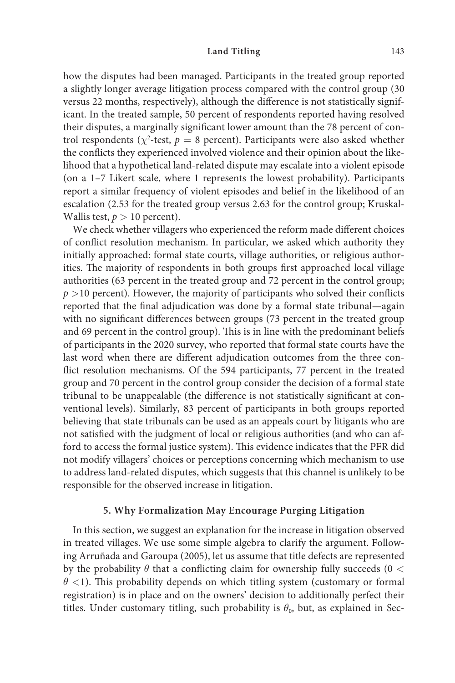how the disputes had been managed. Participants in the treated group reported a slightly longer average litigation process compared with the control group (30 versus 22 months, respectively), although the difference is not statistically significant. In the treated sample, 50 percent of respondents reported having resolved their disputes, a marginally significant lower amount than the 78 percent of control respondents ( $\chi^2$ -test,  $p = 8$  percent). Participants were also asked whether the conflicts they experienced involved violence and their opinion about the likelihood that a hypothetical land-related dispute may escalate into a violent episode (on a 1–7 Likert scale, where 1 represents the lowest probability). Participants report a similar frequency of violent episodes and belief in the likelihood of an escalation (2.53 for the treated group versus 2.63 for the control group; Kruskal-Wallis test,  $p > 10$  percent).

We check whether villagers who experienced the reform made different choices of conflict resolution mechanism. In particular, we asked which authority they initially approached: formal state courts, village authorities, or religious authorities. The majority of respondents in both groups first approached local village authorities (63 percent in the treated group and 72 percent in the control group; *p >*10 percent). However, the majority of participants who solved their conflicts reported that the final adjudication was done by a formal state tribunal—again with no significant differences between groups (73 percent in the treated group and 69 percent in the control group). This is in line with the predominant beliefs of participants in the 2020 survey, who reported that formal state courts have the last word when there are different adjudication outcomes from the three conflict resolution mechanisms. Of the 594 participants, 77 percent in the treated group and 70 percent in the control group consider the decision of a formal state tribunal to be unappealable (the difference is not statistically significant at conventional levels). Similarly, 83 percent of participants in both groups reported believing that state tribunals can be used as an appeals court by litigants who are not satisfied with the judgment of local or religious authorities (and who can afford to access the formal justice system). This evidence indicates that the PFR did not modify villagers' choices or perceptions concerning which mechanism to use to address land-related disputes, which suggests that this channel is unlikely to be responsible for the observed increase in litigation.

# **5. Why Formalization May Encourage Purging Litigation**

In this section, we suggest an explanation for the increase in litigation observed in treated villages. We use some simple algebra to clarify the argument. Following Arruñada and Garoupa (2005), let us assume that title defects are represented by the probability *θ* that a conflicting claim for ownership fully succeeds (0 *< θ <*1). This probability depends on which titling system (customary or formal registration) is in place and on the owners' decision to additionally perfect their titles. Under customary titling, such probability is  $\theta_0$ , but, as explained in Sec-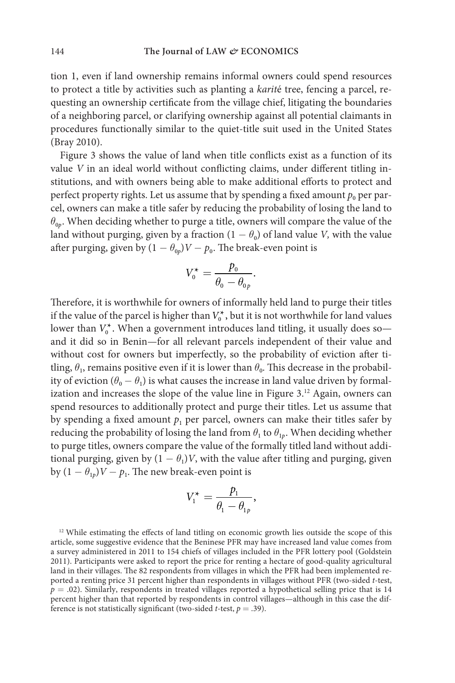tion 1, even if land ownership remains informal owners could spend resources to protect a title by activities such as planting a *karit*é tree, fencing a parcel, requesting an ownership certificate from the village chief, litigating the boundaries of a neighboring parcel, or clarifying ownership against all potential claimants in procedures functionally similar to the quiet-title suit used in the United States (Bray 2010).

Figure 3 shows the value of land when title conflicts exist as a function of its value *V* in an ideal world without conflicting claims, under different titling institutions, and with owners being able to make additional efforts to protect and perfect property rights. Let us assume that by spending a fixed amount  $p_0$  per parcel, owners can make a title safer by reducing the probability of losing the land to *θ*0*<sup>p</sup>*. When deciding whether to purge a title, owners will compare the value of the land without purging, given by a fraction  $(1 - \theta_0)$  of land value *V*, with the value after purging, given by  $(1 - \theta_{0p})V - p_0$ . The break-even point is

$$
V_0^* = \frac{p_0}{\theta_0 - \theta_{0p}}.
$$

Therefore, it is worthwhile for owners of informally held land to purge their titles if the value of the parcel is higher than  $V_0^*$ , but it is not worthwhile for land values lower than  $V_0^*$ . When a government introduces land titling, it usually does so and it did so in Benin—for all relevant parcels independent of their value and without cost for owners but imperfectly, so the probability of eviction after titling,  $\theta_1$ , remains positive even if it is lower than  $\theta_0$ . This decrease in the probability of eviction ( $\theta_0 - \theta_1$ ) is what causes the increase in land value driven by formalization and increases the slope of the value line in Figure 3.12 Again, owners can spend resources to additionally protect and purge their titles. Let us assume that by spending a fixed amount  $p_1$  per parcel, owners can make their titles safer by reducing the probability of losing the land from  $\theta_1$  to  $\theta_1$ <sup>p</sup>. When deciding whether to purge titles, owners compare the value of the formally titled land without additional purging, given by  $(1 - \theta_1)V$ , with the value after titling and purging, given by  $(1 - \theta_{1p})V - p_1$ . The new break-even point is

$$
V_1^* = \frac{p_1}{\theta_1 - \theta_1},
$$

<sup>12</sup> While estimating the effects of land titling on economic growth lies outside the scope of this article, some suggestive evidence that the Beninese PFR may have increased land value comes from a survey administered in 2011 to 154 chiefs of villages included in the PFR lottery pool (Goldstein 2011). Participants were asked to report the price for renting a hectare of good-quality agricultural land in their villages. The 82 respondents from villages in which the PFR had been implemented reported a renting price 31 percent higher than respondents in villages without PFR (two-sided *t*-test,  $p = 0.02$ ). Similarly, respondents in treated villages reported a hypothetical selling price that is 14 percent higher than that reported by respondents in control villages—although in this case the difference is not statistically significant (two-sided *t*-test,  $p = .39$ ).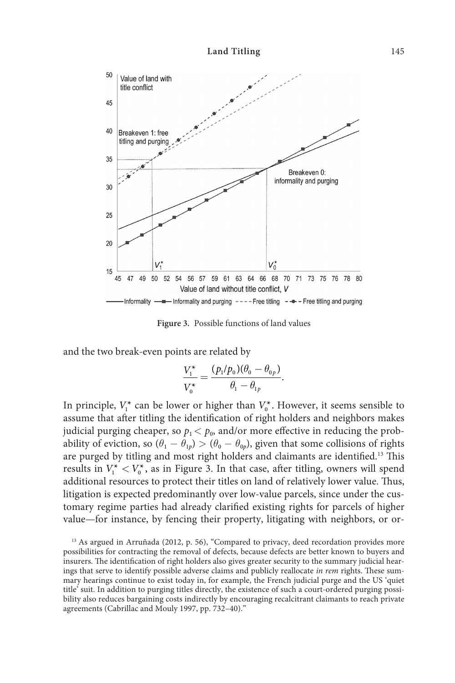

-Informality —= Informality and purging ----Free titling -- -Free titling and purging

**Figure 3.** Possible functions of land values

and the two break-even points are related by

$$
\frac{V_1^*}{V_0^*} = \frac{(\rho_1/p_0)(\theta_0 - \theta_{0p})}{\theta_1 - \theta_{1p}}.
$$

In principle,  $V_1^*$  can be lower or higher than  $V_0^*$ . However, it seems sensible to assume that after titling the identification of right holders and neighbors makes judicial purging cheaper, so  $p_1 < p_0$ , and/or more effective in reducing the probability of eviction, so  $(\theta_1 - \theta_{1p}) > (\theta_0 - \theta_{0p})$ , given that some collisions of rights are purged by titling and most right holders and claimants are identified.<sup>13</sup> This results in  $V_1^*$  <  $V_0^*$ , as in Figure 3. In that case, after titling, owners will spend additional resources to protect their titles on land of relatively lower value. Thus, litigation is expected predominantly over low-value parcels, since under the customary regime parties had already clarified existing rights for parcels of higher value—for instance, by fencing their property, litigating with neighbors, or or-

<sup>13</sup> As argued in Arruñada (2012, p. 56), "Compared to privacy, deed recordation provides more possibilities for contracting the removal of defects, because defects are better known to buyers and insurers. The identification of right holders also gives greater security to the summary judicial hearings that serve to identify possible adverse claims and publicly reallocate *in rem* rights. These summary hearings continue to exist today in, for example, the French judicial purge and the US 'quiet title' suit. In addition to purging titles directly, the existence of such a court-ordered purging possibility also reduces bargaining costs indirectly by encouraging recalcitrant claimants to reach private agreements (Cabrillac and Mouly 1997, pp. 732–40)."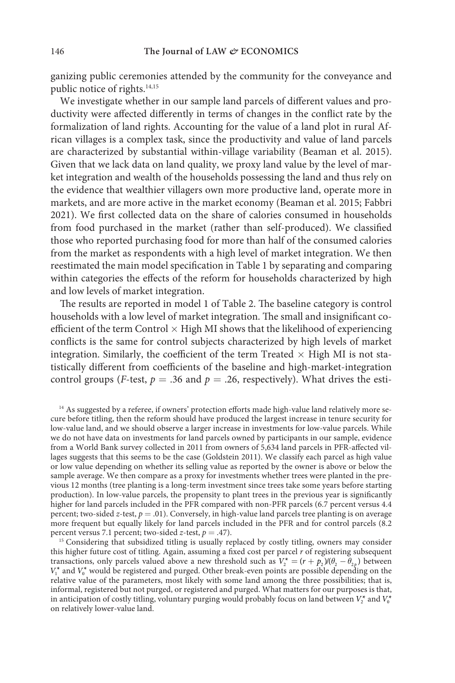ganizing public ceremonies attended by the community for the conveyance and public notice of rights.14,15

We investigate whether in our sample land parcels of different values and productivity were affected differently in terms of changes in the conflict rate by the formalization of land rights. Accounting for the value of a land plot in rural African villages is a complex task, since the productivity and value of land parcels are characterized by substantial within-village variability (Beaman et al. 2015). Given that we lack data on land quality, we proxy land value by the level of market integration and wealth of the households possessing the land and thus rely on the evidence that wealthier villagers own more productive land, operate more in markets, and are more active in the market economy (Beaman et al. 2015; Fabbri 2021). We first collected data on the share of calories consumed in households from food purchased in the market (rather than self-produced). We classified those who reported purchasing food for more than half of the consumed calories from the market as respondents with a high level of market integration. We then reestimated the main model specification in Table 1 by separating and comparing within categories the effects of the reform for households characterized by high and low levels of market integration.

The results are reported in model 1 of Table 2. The baseline category is control households with a low level of market integration. The small and insignificant coefficient of the term Control *×* High MI shows that the likelihood of experiencing conflicts is the same for control subjects characterized by high levels of market integration. Similarly, the coefficient of the term Treated  $\times$  High MI is not statistically different from coefficients of the baseline and high-market-integration control groups (*F*-test,  $p = .36$  and  $p = .26$ , respectively). What drives the esti-

<sup>&</sup>lt;sup>14</sup> As suggested by a referee, if owners' protection efforts made high-value land relatively more secure before titling, then the reform should have produced the largest increase in tenure security for low-value land, and we should observe a larger increase in investments for low-value parcels. While we do not have data on investments for land parcels owned by participants in our sample, evidence from a World Bank survey collected in 2011 from owners of 5,634 land parcels in PFR-affected villages suggests that this seems to be the case (Goldstein 2011). We classify each parcel as high value or low value depending on whether its selling value as reported by the owner is above or below the sample average. We then compare as a proxy for investments whether trees were planted in the previous 12 months (tree planting is a long-term investment since trees take some years before starting production). In low-value parcels, the propensity to plant trees in the previous year is significantly higher for land parcels included in the PFR compared with non-PFR parcels (6.7 percent versus 4.4 percent; two-sided *z*-test,  $p = .01$ ). Conversely, in high-value land parcels tree planting is on average more frequent but equally likely for land parcels included in the PFR and for control parcels (8.2 percent versus 7.1 percent; two-sided z-test,  $p = .47$ ).

<sup>&</sup>lt;sup>15</sup> Considering that subsidized titling is usually replaced by costly titling, owners may consider this higher future cost of titling. Again, assuming a fixed cost per parcel *r* of registering subsequent transactions, only parcels valued above a new threshold such as  $V_2^* = (r + p_2)(\theta_2 - \theta_{2p})$  between  $V_1^*$  and  $V_0^*$  would be registered and purged. Other break-even points are possible depending on the relative value of the parameters, most likely with some land among the three possibilities; that is, informal, registered but not purged, or registered and purged. What matters for our purposes is that, in anticipation of costly titling, voluntary purging would probably focus on land between  $V^\star_2$  and  $V^\star_{\rm 0}$ on relatively lower-value land.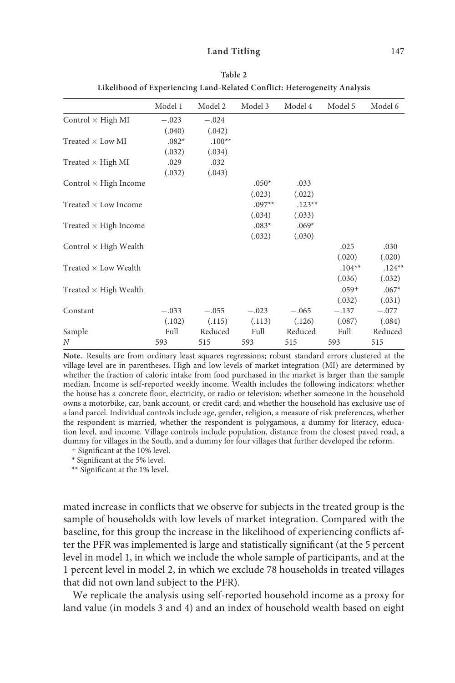|                              | Model 1 | Model 2  | Model 3  | Model 4  | Model 5  | Model 6  |
|------------------------------|---------|----------|----------|----------|----------|----------|
| Control $\times$ High MI     | $-.023$ | $-.024$  |          |          |          |          |
|                              | (.040)  | (.042)   |          |          |          |          |
| Treated $\times$ Low MI      | $.082*$ | $.100**$ |          |          |          |          |
|                              | (.032)  | (.034)   |          |          |          |          |
| Treated $\times$ High MI     | .029    | .032     |          |          |          |          |
|                              | (.032)  | (.043)   |          |          |          |          |
| Control $\times$ High Income |         |          | $.050*$  | .033     |          |          |
|                              |         |          | (.023)   | (.022)   |          |          |
| Treated $\times$ Low Income  |         |          | $.097**$ | $.123**$ |          |          |
|                              |         |          | (.034)   | (.033)   |          |          |
| Treated $\times$ High Income |         |          | $.083*$  | $.069*$  |          |          |
|                              |         |          | (.032)   | (.030)   |          |          |
| Control $\times$ High Wealth |         |          |          |          | .025     | .030     |
|                              |         |          |          |          | (.020)   | (.020)   |
| Treated $\times$ Low Wealth  |         |          |          |          | $.104**$ | $.124**$ |
|                              |         |          |          |          | (.036)   | (.032)   |
| Treated $\times$ High Wealth |         |          |          |          | $.059+$  | $.067*$  |
|                              |         |          |          |          | (.032)   | (.031)   |
| Constant                     | $-.033$ | $-.055$  | $-.023$  | $-.065$  | $-.137$  | $-.077$  |
|                              | (.102)  | (.115)   | (.113)   | (.126)   | (.087)   | (.084)   |
| Sample                       | Full    | Reduced  | Full     | Reduced  | Full     | Reduced  |
| N                            | 593     | 515      | 593      | 515      | 593      | 515      |

**Table 2 Likelihood of Experiencing Land-Related Conflict: Heterogeneity Analysis**

**Note.** Results are from ordinary least squares regressions; robust standard errors clustered at the village level are in parentheses. High and low levels of market integration (MI) are determined by whether the fraction of caloric intake from food purchased in the market is larger than the sample median. Income is self-reported weekly income. Wealth includes the following indicators: whether the house has a concrete floor, electricity, or radio or television; whether someone in the household owns a motorbike, car, bank account, or credit card; and whether the household has exclusive use of a land parcel. Individual controls include age, gender, religion, a measure of risk preferences, whether the respondent is married, whether the respondent is polygamous, a dummy for literacy, education level, and income. Village controls include population, distance from the closest paved road, a dummy for villages in the South, and a dummy for four villages that further developed the reform.

**<sup>+</sup>** Significant at the 10% level.

\* Significant at the 5% level.

\*\* Significant at the 1% level.

mated increase in conflicts that we observe for subjects in the treated group is the sample of households with low levels of market integration. Compared with the baseline, for this group the increase in the likelihood of experiencing conflicts after the PFR was implemented is large and statistically significant (at the 5 percent level in model 1, in which we include the whole sample of participants, and at the 1 percent level in model 2, in which we exclude 78 households in treated villages that did not own land subject to the PFR).

We replicate the analysis using self-reported household income as a proxy for land value (in models 3 and 4) and an index of household wealth based on eight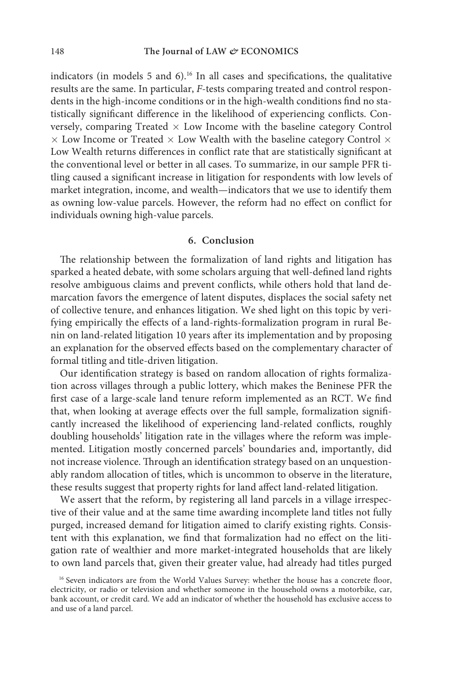indicators (in models 5 and 6).16 In all cases and specifications, the qualitative results are the same. In particular, *F*-tests comparing treated and control respondents in the high-income conditions or in the high-wealth conditions find no statistically significant difference in the likelihood of experiencing conflicts. Conversely, comparing Treated *×* Low Income with the baseline category Control *×* Low Income or Treated *×* Low Wealth with the baseline category Control *×* Low Wealth returns differences in conflict rate that are statistically significant at the conventional level or better in all cases. To summarize, in our sample PFR titling caused a significant increase in litigation for respondents with low levels of market integration, income, and wealth—indicators that we use to identify them as owning low-value parcels. However, the reform had no effect on conflict for individuals owning high-value parcels.

# **6. Conclusion**

The relationship between the formalization of land rights and litigation has sparked a heated debate, with some scholars arguing that well-defined land rights resolve ambiguous claims and prevent conflicts, while others hold that land demarcation favors the emergence of latent disputes, displaces the social safety net of collective tenure, and enhances litigation. We shed light on this topic by verifying empirically the effects of a land-rights-formalization program in rural Benin on land-related litigation 10 years after its implementation and by proposing an explanation for the observed effects based on the complementary character of formal titling and title-driven litigation.

Our identification strategy is based on random allocation of rights formalization across villages through a public lottery, which makes the Beninese PFR the first case of a large-scale land tenure reform implemented as an RCT. We find that, when looking at average effects over the full sample, formalization significantly increased the likelihood of experiencing land-related conflicts, roughly doubling households' litigation rate in the villages where the reform was implemented. Litigation mostly concerned parcels' boundaries and, importantly, did not increase violence. Through an identification strategy based on an unquestionably random allocation of titles, which is uncommon to observe in the literature, these results suggest that property rights for land affect land-related litigation.

We assert that the reform, by registering all land parcels in a village irrespective of their value and at the same time awarding incomplete land titles not fully purged, increased demand for litigation aimed to clarify existing rights. Consistent with this explanation, we find that formalization had no effect on the litigation rate of wealthier and more market-integrated households that are likely to own land parcels that, given their greater value, had already had titles purged

<sup>&</sup>lt;sup>16</sup> Seven indicators are from the World Values Survey: whether the house has a concrete floor, electricity, or radio or television and whether someone in the household owns a motorbike, car, bank account, or credit card. We add an indicator of whether the household has exclusive access to and use of a land parcel.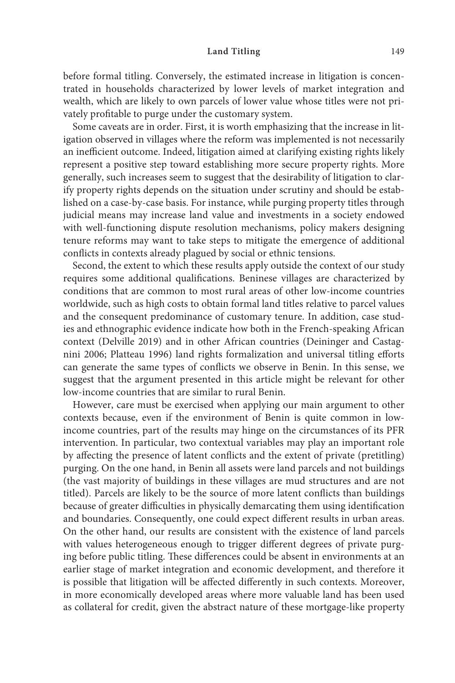before formal titling. Conversely, the estimated increase in litigation is concentrated in households characterized by lower levels of market integration and wealth, which are likely to own parcels of lower value whose titles were not privately profitable to purge under the customary system.

Some caveats are in order. First, it is worth emphasizing that the increase in litigation observed in villages where the reform was implemented is not necessarily an inefficient outcome. Indeed, litigation aimed at clarifying existing rights likely represent a positive step toward establishing more secure property rights. More generally, such increases seem to suggest that the desirability of litigation to clarify property rights depends on the situation under scrutiny and should be established on a case-by-case basis. For instance, while purging property titles through judicial means may increase land value and investments in a society endowed with well-functioning dispute resolution mechanisms, policy makers designing tenure reforms may want to take steps to mitigate the emergence of additional conflicts in contexts already plagued by social or ethnic tensions.

Second, the extent to which these results apply outside the context of our study requires some additional qualifications. Beninese villages are characterized by conditions that are common to most rural areas of other low-income countries worldwide, such as high costs to obtain formal land titles relative to parcel values and the consequent predominance of customary tenure. In addition, case studies and ethnographic evidence indicate how both in the French-speaking African context (Delville 2019) and in other African countries (Deininger and Castagnini 2006; Platteau 1996) land rights formalization and universal titling efforts can generate the same types of conflicts we observe in Benin. In this sense, we suggest that the argument presented in this article might be relevant for other low-income countries that are similar to rural Benin.

However, care must be exercised when applying our main argument to other contexts because, even if the environment of Benin is quite common in lowincome countries, part of the results may hinge on the circumstances of its PFR intervention. In particular, two contextual variables may play an important role by affecting the presence of latent conflicts and the extent of private (pretitling) purging. On the one hand, in Benin all assets were land parcels and not buildings (the vast majority of buildings in these villages are mud structures and are not titled). Parcels are likely to be the source of more latent conflicts than buildings because of greater difficulties in physically demarcating them using identification and boundaries. Consequently, one could expect different results in urban areas. On the other hand, our results are consistent with the existence of land parcels with values heterogeneous enough to trigger different degrees of private purging before public titling. These differences could be absent in environments at an earlier stage of market integration and economic development, and therefore it is possible that litigation will be affected differently in such contexts. Moreover, in more economically developed areas where more valuable land has been used as collateral for credit, given the abstract nature of these mortgage-like property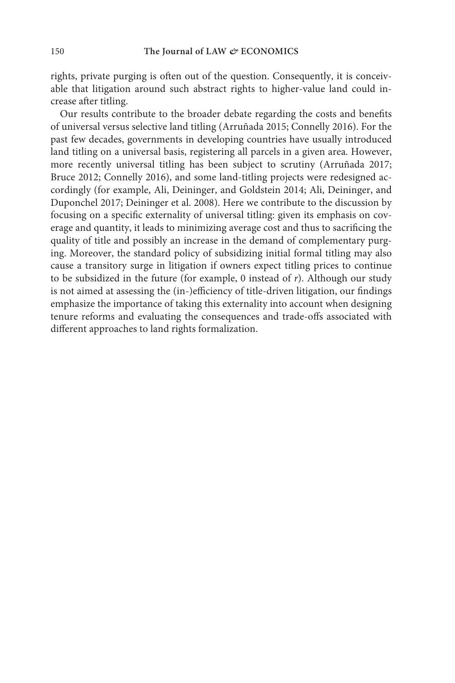rights, private purging is often out of the question. Consequently, it is conceivable that litigation around such abstract rights to higher-value land could increase after titling.

Our results contribute to the broader debate regarding the costs and benefits of universal versus selective land titling (Arruñada 2015; Connelly 2016). For the past few decades, governments in developing countries have usually introduced land titling on a universal basis, registering all parcels in a given area. However, more recently universal titling has been subject to scrutiny (Arruñada 2017; Bruce 2012; Connelly 2016), and some land-titling projects were redesigned accordingly (for example, Ali, Deininger, and Goldstein 2014; Ali, Deininger, and Duponchel 2017; Deininger et al. 2008). Here we contribute to the discussion by focusing on a specific externality of universal titling: given its emphasis on coverage and quantity, it leads to minimizing average cost and thus to sacrificing the quality of title and possibly an increase in the demand of complementary purging. Moreover, the standard policy of subsidizing initial formal titling may also cause a transitory surge in litigation if owners expect titling prices to continue to be subsidized in the future (for example, 0 instead of *r*). Although our study is not aimed at assessing the (in-)efficiency of title-driven litigation, our findings emphasize the importance of taking this externality into account when designing tenure reforms and evaluating the consequences and trade-offs associated with different approaches to land rights formalization.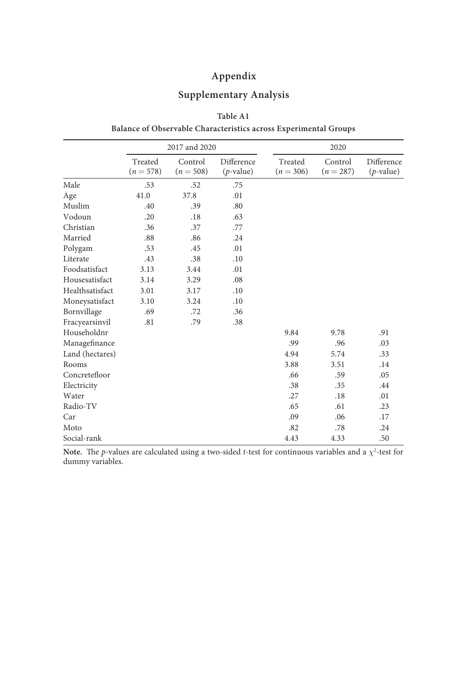# **Appendix**

# **Supplementary Analysis**

|                 |                        | 2017 and 2020          |                            |                        | 2020                   |                            |  |  |
|-----------------|------------------------|------------------------|----------------------------|------------------------|------------------------|----------------------------|--|--|
|                 | Treated<br>$(n = 578)$ | Control<br>$(n = 508)$ | Difference<br>$(p$ -value) | Treated<br>$(n = 306)$ | Control<br>$(n = 287)$ | Difference<br>$(p$ -value) |  |  |
| Male            | .53                    | .52                    | .75                        |                        |                        |                            |  |  |
| Age             | 41.0                   | 37.8                   | .01                        |                        |                        |                            |  |  |
| Muslim          | .40                    | .39                    | .80                        |                        |                        |                            |  |  |
| Vodoun          | .20                    | .18                    | .63                        |                        |                        |                            |  |  |
| Christian       | .36                    | .37                    | .77                        |                        |                        |                            |  |  |
| Married         | .88                    | .86                    | .24                        |                        |                        |                            |  |  |
| Polygam         | .53                    | .45                    | .01                        |                        |                        |                            |  |  |
| Literate        | .43                    | .38                    | .10                        |                        |                        |                            |  |  |
| Foodsatisfact   | 3.13                   | 3.44                   | .01                        |                        |                        |                            |  |  |
| Housesatisfact  | 3.14                   | 3.29                   | .08                        |                        |                        |                            |  |  |
| Healthsatisfact | 3.01                   | 3.17                   | .10                        |                        |                        |                            |  |  |
| Moneysatisfact  | 3.10                   | 3.24                   | .10                        |                        |                        |                            |  |  |
| Bornvillage     | .69                    | .72                    | .36                        |                        |                        |                            |  |  |
| Fracyearsinvil  | .81                    | .79                    | .38                        |                        |                        |                            |  |  |
| Householdnr     |                        |                        |                            | 9.84                   | 9.78                   | .91                        |  |  |
| Managefinance   |                        |                        |                            | .99                    | .96                    | .03                        |  |  |
| Land (hectares) |                        |                        |                            | 4.94                   | 5.74                   | .33                        |  |  |
| Rooms           |                        |                        |                            | 3.88                   | 3.51                   | .14                        |  |  |
| Concretefloor   |                        |                        |                            | .66                    | .59                    | .05                        |  |  |
| Electricity     |                        |                        |                            | .38                    | .35                    | .44                        |  |  |
| Water           |                        |                        |                            | .27                    | .18                    | .01                        |  |  |
| Radio-TV        |                        |                        |                            | .65                    | .61                    | .23                        |  |  |
| Car             |                        |                        |                            | .09                    | .06                    | .17                        |  |  |
| Moto            |                        |                        |                            | .82                    | .78                    | .24                        |  |  |
| Social-rank     |                        |                        |                            | 4.43                   | 4.33                   | .50                        |  |  |

# **Table A1 Balance of Observable Characteristics across Experimental Groups**

Note. The *p*-values are calculated using a two-sided *t*-test for continuous variables and a  $\chi^2$ -test for dummy variables.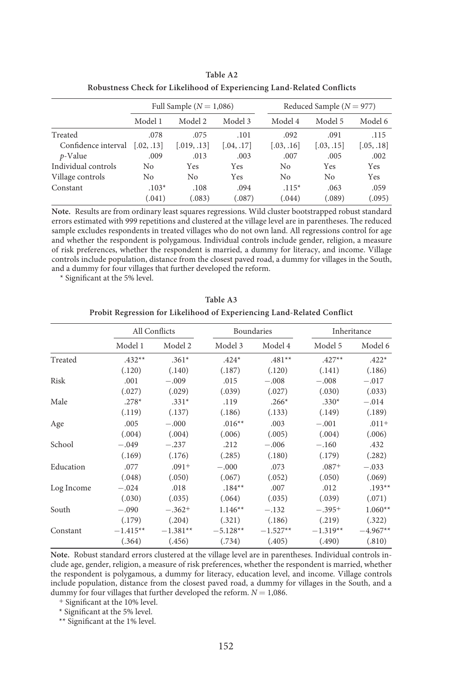|                     | Full Sample $(N = 1,086)$ |             |            |                | Reduced Sample ( $N = 977$ ) |            |
|---------------------|---------------------------|-------------|------------|----------------|------------------------------|------------|
|                     | Model 1                   | Model 2     | Model 3    | Model 4        | Model 5                      | Model 6    |
| Treated             | .078                      | .075        | .101       | .092           | .091                         | .115       |
| Confidence interval | [.02, .13]                | [.019, .13] | [.04, .17] | [.03, .16]     | [.03, .15]                   | [.05, .18] |
| $p$ -Value          | .009                      | .013        | .003       | .007           | .005                         | .002       |
| Individual controls | No                        | Yes         | Yes        | N <sub>0</sub> | Yes                          | Yes        |
| Village controls    | No                        | No          | Yes        | No             | No                           | Yes        |
| Constant            | $.103*$                   | .108        | .094       | $.115*$        | .063                         | .059       |
|                     | (.041)                    | (.083)      | (.087)     | (.044)         | (.089)                       | (.095)     |

| Table A2                                                               |
|------------------------------------------------------------------------|
| Robustness Check for Likelihood of Experiencing Land-Related Conflicts |

**Note.** Results are from ordinary least squares regressions. Wild cluster bootstrapped robust standard errors estimated with 999 repetitions and clustered at the village level are in parentheses. The reduced sample excludes respondents in treated villages who do not own land. All regressions control for age and whether the respondent is polygamous. Individual controls include gender, religion, a measure of risk preferences, whether the respondent is married, a dummy for literacy, and income. Village controls include population, distance from the closest paved road, a dummy for villages in the South, and a dummy for four villages that further developed the reform.

\* Significant at the 5% level.

|            | All Conflicts |            |            | Boundaries |            | Inheritance |  |
|------------|---------------|------------|------------|------------|------------|-------------|--|
|            | Model 1       | Model 2    | Model 3    | Model 4    | Model 5    | Model 6     |  |
| Treated    | $.432**$      | $.361*$    | $.424*$    | $.481**$   | $.427**$   | $.422*$     |  |
|            | (.120)        | (.140)     | (.187)     | (.120)     | (.141)     | (.186)      |  |
| Risk       | .001          | $-.009$    | .015       | $-.008$    | $-.008$    | $-.017$     |  |
|            | (.027)        | (.029)     | (.039)     | (.027)     | (.030)     | (.033)      |  |
| Male       | $.278*$       | $.331*$    | .119       | $.266*$    | $.330*$    | $-.014$     |  |
|            | (.119)        | (.137)     | (.186)     | (.133)     | (.149)     | (.189)      |  |
| Age        | .005          | $-.000$    | $.016**$   | .003       | $-.001$    | $.011+$     |  |
|            | (.004)        | (.004)     | (.006)     | (.005)     | (.004)     | (.006)      |  |
| School     | $-.049$       | $-.237$    | .212       | $-.006$    | $-.160$    | .432        |  |
|            | (.169)        | (.176)     | (.285)     | (.180)     | (.179)     | (.282)      |  |
| Education  | .077          | $.091+$    | $-.000$    | .073       | $.087+$    | $-.033$     |  |
|            | (.048)        | (.050)     | (.067)     | (.052)     | (.050)     | (.069)      |  |
| Log Income | $-.024$       | .018       | $.184**$   | .007       | .012       | $.193**$    |  |
|            | (.030)        | (.035)     | (.064)     | (.035)     | (.039)     | (.071)      |  |
| South      | $-.090$       | $-.362+$   | $1.146**$  | $-.132$    | $-.395+$   | $1.060**$   |  |
|            | (.179)        | (.204)     | (.321)     | (.186)     | (.219)     | (.322)      |  |
| Constant   | $-1.415**$    | $-1.381**$ | $-5.128**$ | $-1.527**$ | $-1.319**$ | $-4.967**$  |  |
|            | (.364)        | (.456)     | (.734)     | (.405)     | (.490)     | (.810)      |  |

**Table A3 Probit Regression for Likelihood of Experiencing Land-Related Conflict**

**Note.** Robust standard errors clustered at the village level are in parentheses. Individual controls include age, gender, religion, a measure of risk preferences, whether the respondent is married, whether the respondent is polygamous, a dummy for literacy, education level, and income. Village controls include population, distance from the closest paved road, a dummy for villages in the South, and a dummy for four villages that further developed the reform.  $N = 1,086$ .

**<sup>+</sup>** Significant at the 10% level.

\* Significant at the 5% level.

\*\* Significant at the 1% level.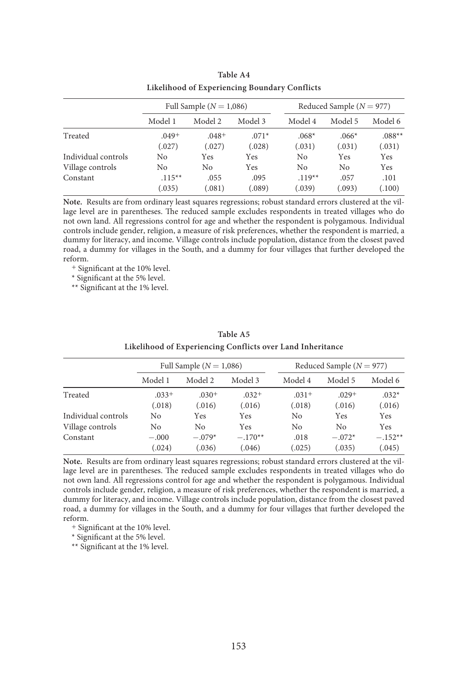|                     | Full Sample $(N = 1,086)$ |         |         | Reduced Sample ( $N = 977$ ) |         |          |
|---------------------|---------------------------|---------|---------|------------------------------|---------|----------|
|                     | Model 1                   | Model 2 | Model 3 | Model 4                      | Model 5 | Model 6  |
| Treated             | $.049+$                   | $.048+$ | $.071*$ | $.068*$                      | $.066*$ | $.088**$ |
|                     | (.027)                    | (.027)  | (.028)  | (.031)                       | (.031)  | (.031)   |
| Individual controls | No                        | Yes     | Yes     | No                           | Yes     | Yes      |
| Village controls    | No                        | No      | Yes     | No                           | No      | Yes      |
| Constant            | $.115***$                 | .055    | .095    | $.119**$                     | .057    | .101     |
|                     | (.035)                    | (.081)  | (.089)  | (.039)                       | (.093)  | (.100)   |

**Table A4 Likelihood of Experiencing Boundary Conflicts**

**Note.** Results are from ordinary least squares regressions; robust standard errors clustered at the village level are in parentheses. The reduced sample excludes respondents in treated villages who do not own land. All regressions control for age and whether the respondent is polygamous. Individual controls include gender, religion, a measure of risk preferences, whether the respondent is married, a dummy for literacy, and income. Village controls include population, distance from the closest paved road, a dummy for villages in the South, and a dummy for four villages that further developed the reform.

**<sup>+</sup>** Significant at the 10% level.

\* Significant at the 5% level.

\*\* Significant at the 1% level.

| Likelinood of Experiencing Commicts over Land Innertiance |                           |          |           |                              |                |           |  |  |  |
|-----------------------------------------------------------|---------------------------|----------|-----------|------------------------------|----------------|-----------|--|--|--|
|                                                           | Full Sample $(N = 1,086)$ |          |           | Reduced Sample ( $N = 977$ ) |                |           |  |  |  |
|                                                           | Model 1                   | Model 2  | Model 3   | Model 4                      | Model 5        | Model 6   |  |  |  |
| Treated                                                   | $.033+$                   | $.030+$  | $.032+$   | $.031+$                      | $.029+$        | $.032*$   |  |  |  |
|                                                           | (.018)                    | (.016)   | (.016)    | (.018)                       | (.016)         | (.016)    |  |  |  |
| Individual controls                                       | No                        | Yes      | Yes       | No                           | Yes            | Yes       |  |  |  |
| Village controls                                          | No                        | No       | Yes       | No                           | N <sub>0</sub> | Yes       |  |  |  |
| Constant                                                  | $-.000$                   | $-.079*$ | $-.170**$ | .018                         | $-.072*$       | $-.152**$ |  |  |  |
|                                                           | (.024)                    | (.036)   | (.046)    | (.025)                       | (.035)         | (.045)    |  |  |  |

**Table A5 Likelihood of Experiencing Conflicts over Land Inheritance**

**Note.** Results are from ordinary least squares regressions; robust standard errors clustered at the village level are in parentheses. The reduced sample excludes respondents in treated villages who do not own land. All regressions control for age and whether the respondent is polygamous. Individual controls include gender, religion, a measure of risk preferences, whether the respondent is married, a dummy for literacy, and income. Village controls include population, distance from the closest paved road, a dummy for villages in the South, and a dummy for four villages that further developed the reform.

**<sup>+</sup>** Significant at the 10% level.

\* Significant at the 5% level.

\*\* Significant at the 1% level.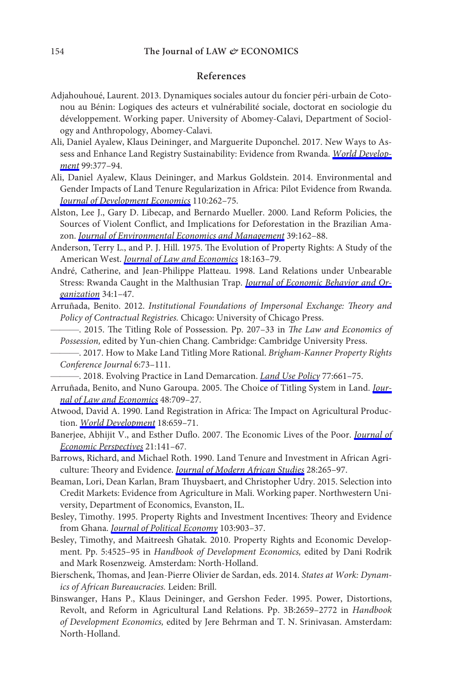# **References**

- Adjahouhoué, Laurent. 2013. Dynamiques sociales autour du foncier péri-urbain de Cotonou au Bénin: Logiques des acteurs et vulnérabilité sociale, doctorat en sociologie du développement. Working paper. University of Abomey-Calavi, Department of Sociology and Anthropology, Abomey-Calavi.
- Ali, Daniel Ayalew, Klaus Deininger, and Marguerite Duponchel. 2017. New Ways to Assess and Enhance Land Registry Sustainability: Evidence from Rwanda. *[World Develop](https://www.journals.uchicago.edu/action/showLinks?crossref=10.1016%2Fj.worlddev.2017.05.016&citationId=p_22)[ment](https://www.journals.uchicago.edu/action/showLinks?crossref=10.1016%2Fj.worlddev.2017.05.016&citationId=p_22)* 99:377–94.
- Ali, Daniel Ayalew, Klaus Deininger, and Markus Goldstein. 2014. Environmental and Gender Impacts of Land Tenure Regularization in Africa: Pilot Evidence from Rwanda. *[Journal of Development Economics](https://www.journals.uchicago.edu/action/showLinks?crossref=10.1016%2Fj.jdeveco.2013.12.009&citationId=p_23)* 110:262–75.
- Alston, Lee J., Gary D. Libecap, and Bernardo Mueller. 2000. Land Reform Policies, the Sources of Violent Conflict, and Implications for Deforestation in the Brazilian Amazon. *[Journal of Environmental Economics and Management](https://www.journals.uchicago.edu/action/showLinks?crossref=10.1006%2Fjeem.1999.1103&citationId=p_24)* 39:162–88.
- Anderson, Terry L., and P. J. Hill. 1975. The Evolution of Property Rights: A Study of the American West. *[Journal of Law and Economics](https://www.journals.uchicago.edu/action/showLinks?system=10.1086%2F466809&citationId=p_25)* 18:163–79.
- André, Catherine, and Jean-Philippe Platteau. 1998. Land Relations under Unbearable Stress: Rwanda Caught in the Malthusian Trap. *[Journal of Economic Behavior and Or](https://www.journals.uchicago.edu/action/showLinks?crossref=10.1016%2FS0167-2681%2897%2900045-0&citationId=p_26)[ganization](https://www.journals.uchicago.edu/action/showLinks?crossref=10.1016%2FS0167-2681%2897%2900045-0&citationId=p_26)* 34:1–47.
- Arruñada, Benito. 2012. *Institutional Foundations of Impersonal Exchange: Theory and Policy of Contractual Registries.* Chicago: University of Chicago Press.
	- ———. 2015. The Titling Role of Possession. Pp. 207–33 in *The Law and Economics of Possession,* edited by Yun-chien Chang. Cambridge: Cambridge University Press.
	- ———. 2017. How to Make Land Titling More Rational. *Brigham-Kanner Property Rights Conference Journal* 6:73–111.
		- ———. 2018. Evolving Practice in Land Demarcation. *[Land Use Policy](https://www.journals.uchicago.edu/action/showLinks?crossref=10.1016%2Fj.landusepol.2018.05.050&citationId=p_30)* 77:661–75.
- Arruñada, Benito, and Nuno Garoupa. 2005. The Choice of Titling System in Land. *[Jour](https://www.journals.uchicago.edu/action/showLinks?system=10.1086%2F430493&citationId=p_31)[nal of Law and Economics](https://www.journals.uchicago.edu/action/showLinks?system=10.1086%2F430493&citationId=p_31)* 48:709–27.
- Atwood, David A. 1990. Land Registration in Africa: The Impact on Agricultural Production. *[World Development](https://www.journals.uchicago.edu/action/showLinks?crossref=10.1016%2F0305-750X%2890%2990016-Q&citationId=p_32)* 18:659–71.
- Banerjee, Abhijit V., and Esther Duflo. 2007. The Economic Lives of the Poor. *[Journal of](https://www.journals.uchicago.edu/action/showLinks?crossref=10.1257%2Fjep.21.1.141&citationId=p_33)  [Economic Perspectives](https://www.journals.uchicago.edu/action/showLinks?crossref=10.1257%2Fjep.21.1.141&citationId=p_33)* 21:141–67.
- Barrows, Richard, and Michael Roth. 1990. Land Tenure and Investment in African Agriculture: Theory and Evidence. *[Journal of Modern African Studies](https://www.journals.uchicago.edu/action/showLinks?crossref=10.1017%2FS0022278X00054458&citationId=p_34)* 28:265–97.
- Beaman, Lori, Dean Karlan, Bram Thuysbaert, and Christopher Udry. 2015. Selection into Credit Markets: Evidence from Agriculture in Mali. Working paper. Northwestern University, Department of Economics, Evanston, IL.
- Besley, Timothy. 1995. Property Rights and Investment Incentives: Theory and Evidence from Ghana. *[Journal of Political Economy](https://www.journals.uchicago.edu/action/showLinks?system=10.1086%2F262008&citationId=p_36)* 103:903–37.
- Besley, Timothy, and Maitreesh Ghatak. 2010. Property Rights and Economic Development. Pp. 5:4525–95 in *Handbook of Development Economics,* edited by Dani Rodrik and Mark Rosenzweig. Amsterdam: North-Holland.
- Bierschenk, Thomas, and Jean-Pierre Olivier de Sardan, eds. 2014. *States at Work: Dynamics of African Bureaucracies.* Leiden: Brill.
- Binswanger, Hans P., Klaus Deininger, and Gershon Feder. 1995. Power, Distortions, Revolt, and Reform in Agricultural Land Relations. Pp. 3B:2659–2772 in *Handbook of Development Economics,* edited by Jere Behrman and T. N. Srinivasan. Amsterdam: North-Holland.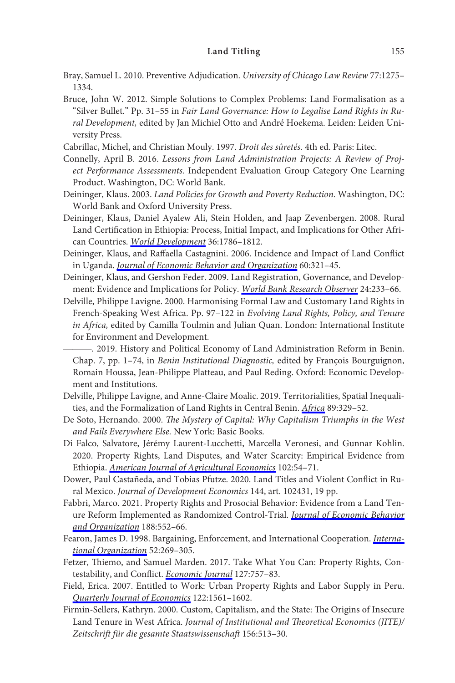- Bray, Samuel L. 2010. Preventive Adjudication. *University of Chicago Law Review* 77:1275– 1334.
- Bruce, John W. 2012. Simple Solutions to Complex Problems: Land Formalisation as a "Silver Bullet." Pp. 31–55 in *Fair Land Governance: How to Legalise Land Rights in Rural Development,* edited by Jan Michiel Otto and André Hoekema. Leiden: Leiden University Press.
- Cabrillac, Michel, and Christian Mouly. 1997. *Droit des sûretés.* 4th ed. Paris: Litec.
- Connelly, April B. 2016. *Lessons from Land Administration Projects: A Review of Project Performance Assessments.* Independent Evaluation Group Category One Learning Product. Washington, DC: World Bank.
- Deininger, Klaus. 2003. *Land Policies for Growth and Poverty Reduction.* Washington, DC: World Bank and Oxford University Press.
- Deininger, Klaus, Daniel Ayalew Ali, Stein Holden, and Jaap Zevenbergen. 2008. Rural Land Certification in Ethiopia: Process, Initial Impact, and Implications for Other African Countries. *[World Development](https://www.journals.uchicago.edu/action/showLinks?crossref=10.1016%2Fj.worlddev.2007.09.012&citationId=p_45)* 36:1786–1812.
- Deininger, Klaus, and Raffaella Castagnini. 2006. Incidence and Impact of Land Conflict in Uganda. *[Journal of Economic Behavior and Organization](https://www.journals.uchicago.edu/action/showLinks?crossref=10.1016%2Fj.jebo.2004.04.008&citationId=p_46)* 60:321–45.
- Deininger, Klaus, and Gershon Feder. 2009. Land Registration, Governance, and Development: Evidence and Implications for Policy. *[World Bank Research Observer](https://www.journals.uchicago.edu/action/showLinks?crossref=10.1093%2Fwbro%2Flkp007&citationId=p_47)* 24:233–66.
- Delville, Philippe Lavigne. 2000. Harmonising Formal Law and Customary Land Rights in French-Speaking West Africa. Pp. 97–122 in *Evolving Land Rights, Policy, and Tenure in Africa,* edited by Camilla Toulmin and Julian Quan. London: International Institute for Environment and Development.

———. 2019. History and Political Economy of Land Administration Reform in Benin. Chap. 7, pp. 1–74, in *Benin Institutional Diagnostic,* edited by François Bourguignon, Romain Houssa, Jean-Philippe Platteau, and Paul Reding. Oxford: Economic Development and Institutions.

- Delville, Philippe Lavigne, and Anne-Claire Moalic. 2019. Territorialities, Spatial Inequalities, and the Formalization of Land Rights in Central Benin. *[Africa](https://www.journals.uchicago.edu/action/showLinks?crossref=10.1017%2FS0001972019000111&citationId=p_50)* 89:329–52.
- De Soto, Hernando. 2000. *The Mystery of Capital: Why Capitalism Triumphs in the West and Fails Everywhere Else.* New York: Basic Books.
- Di Falco, Salvatore, Jérémy Laurent-Lucchetti, Marcella Veronesi, and Gunnar Kohlin. 2020. Property Rights, Land Disputes, and Water Scarcity: Empirical Evidence from Ethiopia. *[American Journal of Agricultural Economics](https://www.journals.uchicago.edu/action/showLinks?crossref=10.1093%2Fajae%2Faaz036&citationId=p_53)* 102:54–71.
- Dower, Paul Castañeda, and Tobias Pfutze. 2020. Land Titles and Violent Conflict in Rural Mexico. *Journal of Development Economics* 144, art. 102431, 19 pp.
- Fabbri, Marco. 2021. Property Rights and Prosocial Behavior: Evidence from a Land Tenure Reform Implemented as Randomized Control-Trial. *[Journal of Economic Behavior](https://www.journals.uchicago.edu/action/showLinks?crossref=10.1016%2Fj.jebo.2021.06.001&citationId=p_55) [and Organization](https://www.journals.uchicago.edu/action/showLinks?crossref=10.1016%2Fj.jebo.2021.06.001&citationId=p_55)* 188:552–66.
- Fearon, James D. 1998. Bargaining, Enforcement, and International Cooperation. *[Interna](https://www.journals.uchicago.edu/action/showLinks?crossref=10.1162%2F002081898753162820&citationId=p_56)[tional Organization](https://www.journals.uchicago.edu/action/showLinks?crossref=10.1162%2F002081898753162820&citationId=p_56)* 52:269–305.
- Fetzer, Thiemo, and Samuel Marden. 2017. Take What You Can: Property Rights, Contestability, and Conflict. *[Economic Journal](https://www.journals.uchicago.edu/action/showLinks?crossref=10.1111%2Fecoj.12487&citationId=p_57)* 127:757–83.
- Field, Erica. 2007. Entitled to Work: Urban Property Rights and Labor Supply in Peru. *[Quarterly Journal of Economics](https://www.journals.uchicago.edu/action/showLinks?crossref=10.1162%2Fqjec.2007.122.4.1561&citationId=p_58)* 122:1561–1602.
- Firmin-Sellers, Kathryn. 2000. Custom, Capitalism, and the State: The Origins of Insecure Land Tenure in West Africa. *Journal of Institutional and Theoretical Economics (JITE)/ Zeitschrift für die gesamte Staatswissenschaft* 156:513–30.